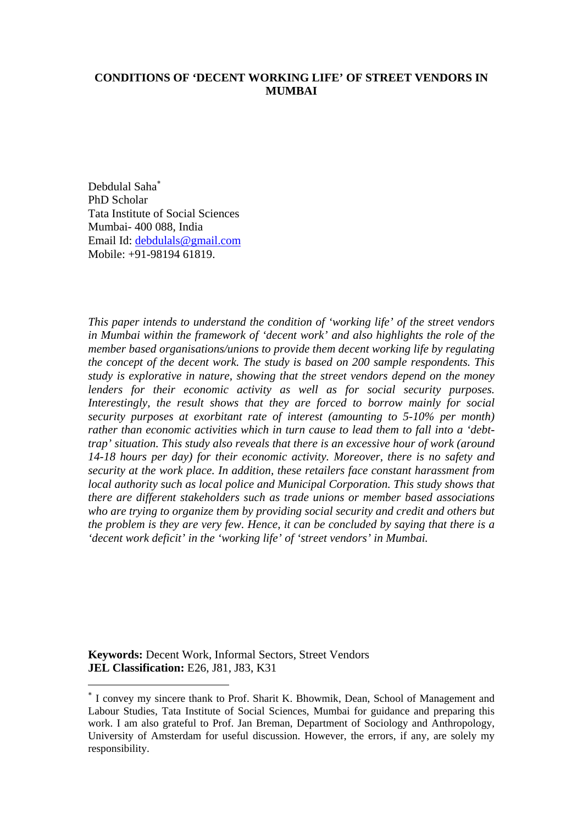# **CONDITIONS OF 'DECENT WORKING LIFE' OF STREET VENDORS IN MUMBAI**

Debdulal Saha<sup>∗</sup> PhD Scholar Tata Institute of Social Sciences Mumbai- 400 088, India Email Id: debdulals@gmail.com Mobile: +91-98194 61819.

*This paper intends to understand the condition of 'working life' of the street vendors in Mumbai within the framework of 'decent work' and also highlights the role of the member based organisations/unions to provide them decent working life by regulating the concept of the decent work. The study is based on 200 sample respondents. This study is explorative in nature, showing that the street vendors depend on the money lenders for their economic activity as well as for social security purposes. Interestingly, the result shows that they are forced to borrow mainly for social security purposes at exorbitant rate of interest (amounting to 5-10% per month) rather than economic activities which in turn cause to lead them to fall into a 'debttrap' situation. This study also reveals that there is an excessive hour of work (around 14-18 hours per day) for their economic activity. Moreover, there is no safety and security at the work place. In addition, these retailers face constant harassment from local authority such as local police and Municipal Corporation. This study shows that there are different stakeholders such as trade unions or member based associations who are trying to organize them by providing social security and credit and others but the problem is they are very few. Hence, it can be concluded by saying that there is a 'decent work deficit' in the 'working life' of 'street vendors' in Mumbai.* 

**Keywords:** Decent Work, Informal Sectors, Street Vendors **JEL Classification:** E26, J81, J83, K31

1

<sup>∗</sup> I convey my sincere thank to Prof. Sharit K. Bhowmik, Dean, School of Management and Labour Studies, Tata Institute of Social Sciences, Mumbai for guidance and preparing this work. I am also grateful to Prof. Jan Breman, Department of Sociology and Anthropology, University of Amsterdam for useful discussion. However, the errors, if any, are solely my responsibility.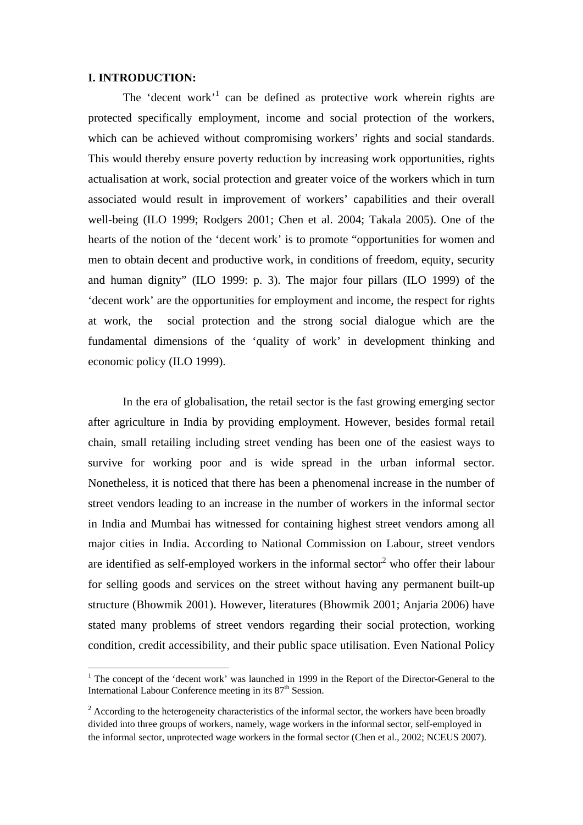## **I. INTRODUCTION:**

<u>.</u>

The 'decent work'<sup>1</sup> can be defined as protective work wherein rights are protected specifically employment, income and social protection of the workers, which can be achieved without compromising workers' rights and social standards. This would thereby ensure poverty reduction by increasing work opportunities, rights actualisation at work, social protection and greater voice of the workers which in turn associated would result in improvement of workers' capabilities and their overall well-being (ILO 1999; Rodgers 2001; Chen et al. 2004; Takala 2005). One of the hearts of the notion of the 'decent work' is to promote "opportunities for women and men to obtain decent and productive work, in conditions of freedom, equity, security and human dignity" (ILO 1999: p. 3). The major four pillars (ILO 1999) of the 'decent work' are the opportunities for employment and income, the respect for rights at work, the social protection and the strong social dialogue which are the fundamental dimensions of the 'quality of work' in development thinking and economic policy (ILO 1999).

In the era of globalisation, the retail sector is the fast growing emerging sector after agriculture in India by providing employment. However, besides formal retail chain, small retailing including street vending has been one of the easiest ways to survive for working poor and is wide spread in the urban informal sector. Nonetheless, it is noticed that there has been a phenomenal increase in the number of street vendors leading to an increase in the number of workers in the informal sector in India and Mumbai has witnessed for containing highest street vendors among all major cities in India. According to National Commission on Labour, street vendors are identified as self-employed workers in the informal sector<sup>2</sup> who offer their labour for selling goods and services on the street without having any permanent built-up structure (Bhowmik 2001). However, literatures (Bhowmik 2001; Anjaria 2006) have stated many problems of street vendors regarding their social protection, working condition, credit accessibility, and their public space utilisation. Even National Policy

<sup>&</sup>lt;sup>1</sup> The concept of the 'decent work' was launched in 1999 in the Report of the Director-General to the International Labour Conference meeting in its 87<sup>th</sup> Session.

 $2^2$  According to the heterogeneity characteristics of the informal sector, the workers have been broadly divided into three groups of workers, namely, wage workers in the informal sector, self-employed in the informal sector, unprotected wage workers in the formal sector (Chen et al., 2002; NCEUS 2007).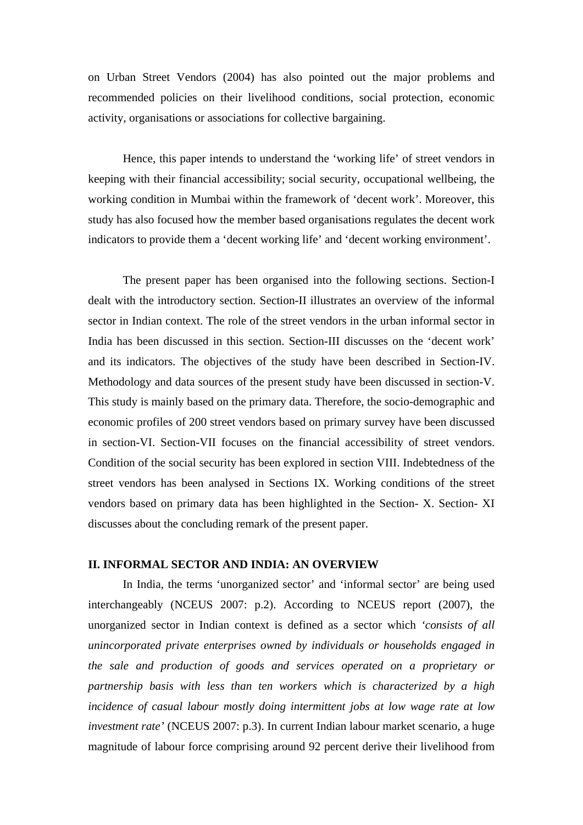on Urban Street Vendors (2004) has also pointed out the major problems and recommended policies on their livelihood conditions, social protection, economic activity, organisations or associations for collective bargaining.

Hence, this paper intends to understand the 'working life' of street vendors in keeping with their financial accessibility; social security, occupational wellbeing, the working condition in Mumbai within the framework of 'decent work'. Moreover, this study has also focused how the member based organisations regulates the decent work indicators to provide them a 'decent working life' and 'decent working environment'.

The present paper has been organised into the following sections. Section-I dealt with the introductory section. Section-II illustrates an overview of the informal sector in Indian context. The role of the street vendors in the urban informal sector in India has been discussed in this section. Section-III discusses on the 'decent work' and its indicators. The objectives of the study have been described in Section-IV. Methodology and data sources of the present study have been discussed in section-V. This study is mainly based on the primary data. Therefore, the socio-demographic and economic profiles of 200 street vendors based on primary survey have been discussed in section-VI. Section-VII focuses on the financial accessibility of street vendors. Condition of the social security has been explored in section VIII. Indebtedness of the street vendors has been analysed in Sections IX. Working conditions of the street vendors based on primary data has been highlighted in the Section- X. Section- XI discusses about the concluding remark of the present paper.

# **II. INFORMAL SECTOR AND INDIA: AN OVERVIEW**

In India, the terms 'unorganized sector' and 'informal sector' are being used interchangeably (NCEUS 2007: p.2). According to NCEUS report (2007), the unorganized sector in Indian context is defined as a sector which *'consists of all unincorporated private enterprises owned by individuals or households engaged in the sale and production of goods and services operated on a proprietary or partnership basis with less than ten workers which is characterized by a high incidence of casual labour mostly doing intermittent jobs at low wage rate at low investment rate'* (NCEUS 2007: p.3). In current Indian labour market scenario, a huge magnitude of labour force comprising around 92 percent derive their livelihood from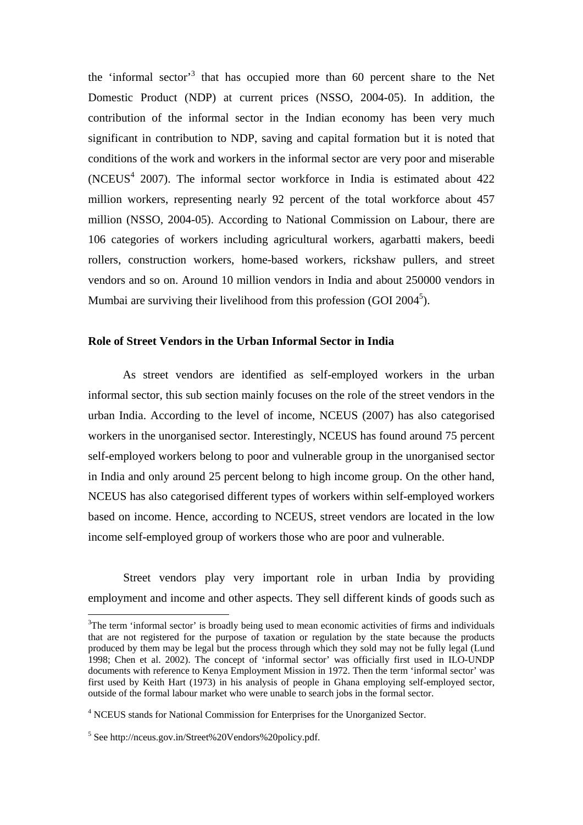the 'informal sector'<sup>3</sup> that has occupied more than 60 percent share to the Net Domestic Product (NDP) at current prices (NSSO, 2004-05). In addition, the contribution of the informal sector in the Indian economy has been very much significant in contribution to NDP, saving and capital formation but it is noted that conditions of the work and workers in the informal sector are very poor and miserable (NCEUS $<sup>4</sup>$  2007). The informal sector workforce in India is estimated about 422</sup> million workers, representing nearly 92 percent of the total workforce about 457 million (NSSO, 2004-05). According to National Commission on Labour, there are 106 categories of workers including agricultural workers, agarbatti makers, beedi rollers, construction workers, home-based workers, rickshaw pullers, and street vendors and so on. Around 10 million vendors in India and about 250000 vendors in Mumbai are surviving their livelihood from this profession (GOI  $2004<sup>5</sup>$ ).

# **Role of Street Vendors in the Urban Informal Sector in India**

As street vendors are identified as self-employed workers in the urban informal sector, this sub section mainly focuses on the role of the street vendors in the urban India. According to the level of income, NCEUS (2007) has also categorised workers in the unorganised sector. Interestingly, NCEUS has found around 75 percent self-employed workers belong to poor and vulnerable group in the unorganised sector in India and only around 25 percent belong to high income group. On the other hand, NCEUS has also categorised different types of workers within self-employed workers based on income. Hence, according to NCEUS, street vendors are located in the low income self-employed group of workers those who are poor and vulnerable.

Street vendors play very important role in urban India by providing employment and income and other aspects. They sell different kinds of goods such as

<u>.</u>

<sup>&</sup>lt;sup>3</sup>The term 'informal sector' is broadly being used to mean economic activities of firms and individuals that are not registered for the purpose of taxation or regulation by the state because the products produced by them may be legal but the process through which they sold may not be fully legal (Lund 1998; Chen et al. 2002). The concept of 'informal sector' was officially first used in ILO-UNDP documents with reference to Kenya Employment Mission in 1972. Then the term 'informal sector' was first used by Keith Hart (1973) in his analysis of people in Ghana employing self-employed sector, outside of the formal labour market who were unable to search jobs in the formal sector.

<sup>&</sup>lt;sup>4</sup> NCEUS stands for National Commission for Enterprises for the Unorganized Sector.

<sup>5</sup> See http://nceus.gov.in/Street%20Vendors%20policy.pdf.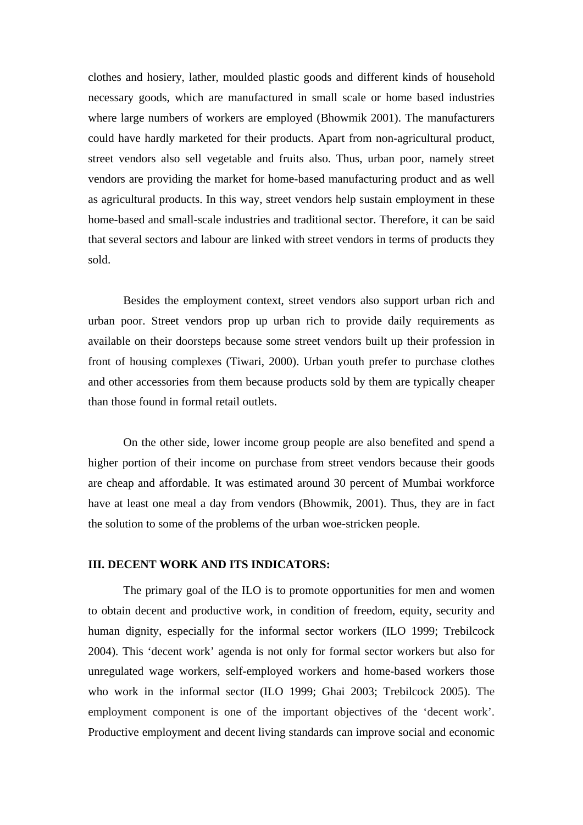clothes and hosiery, lather, moulded plastic goods and different kinds of household necessary goods, which are manufactured in small scale or home based industries where large numbers of workers are employed (Bhowmik 2001). The manufacturers could have hardly marketed for their products. Apart from non-agricultural product, street vendors also sell vegetable and fruits also. Thus, urban poor, namely street vendors are providing the market for home-based manufacturing product and as well as agricultural products. In this way, street vendors help sustain employment in these home-based and small-scale industries and traditional sector. Therefore, it can be said that several sectors and labour are linked with street vendors in terms of products they sold.

Besides the employment context, street vendors also support urban rich and urban poor. Street vendors prop up urban rich to provide daily requirements as available on their doorsteps because some street vendors built up their profession in front of housing complexes (Tiwari, 2000). Urban youth prefer to purchase clothes and other accessories from them because products sold by them are typically cheaper than those found in formal retail outlets.

On the other side, lower income group people are also benefited and spend a higher portion of their income on purchase from street vendors because their goods are cheap and affordable. It was estimated around 30 percent of Mumbai workforce have at least one meal a day from vendors (Bhowmik, 2001). Thus, they are in fact the solution to some of the problems of the urban woe-stricken people.

# **III. DECENT WORK AND ITS INDICATORS:**

The primary goal of the ILO is to promote opportunities for men and women to obtain decent and productive work, in condition of freedom, equity, security and human dignity, especially for the informal sector workers (ILO 1999; Trebilcock 2004). This 'decent work' agenda is not only for formal sector workers but also for unregulated wage workers, self-employed workers and home-based workers those who work in the informal sector (ILO 1999; Ghai 2003; Trebilcock 2005). The employment component is one of the important objectives of the 'decent work'. Productive employment and decent living standards can improve social and economic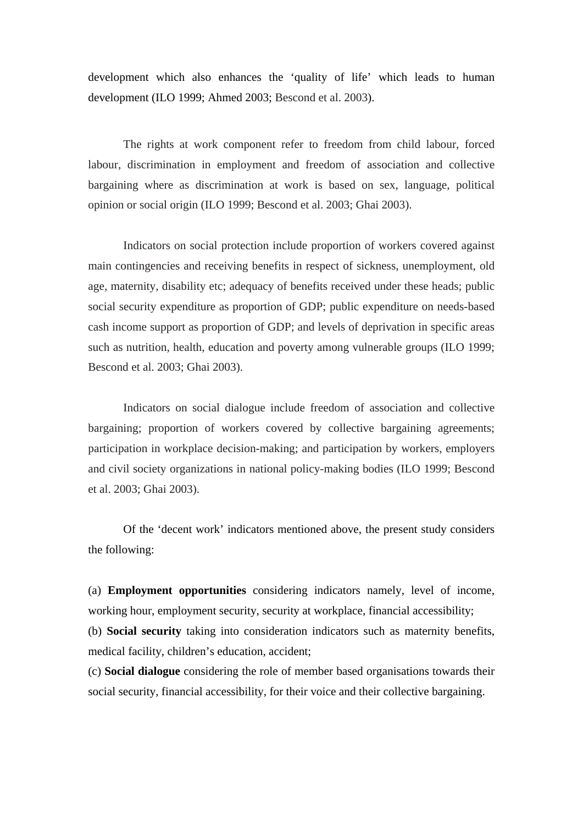development which also enhances the 'quality of life' which leads to human development (ILO 1999; Ahmed 2003; Bescond et al. 2003).

The rights at work component refer to freedom from child labour, forced labour, discrimination in employment and freedom of association and collective bargaining where as discrimination at work is based on sex, language, political opinion or social origin (ILO 1999; Bescond et al. 2003; Ghai 2003).

Indicators on social protection include proportion of workers covered against main contingencies and receiving benefits in respect of sickness, unemployment, old age, maternity, disability etc; adequacy of benefits received under these heads; public social security expenditure as proportion of GDP; public expenditure on needs-based cash income support as proportion of GDP; and levels of deprivation in specific areas such as nutrition, health, education and poverty among vulnerable groups (ILO 1999; Bescond et al. 2003; Ghai 2003).

Indicators on social dialogue include freedom of association and collective bargaining; proportion of workers covered by collective bargaining agreements; participation in workplace decision-making; and participation by workers, employers and civil society organizations in national policy-making bodies (ILO 1999; Bescond et al. 2003; Ghai 2003).

Of the 'decent work' indicators mentioned above, the present study considers the following:

(a) **Employment opportunities** considering indicators namely, level of income, working hour, employment security, security at workplace, financial accessibility;

(b) **Social security** taking into consideration indicators such as maternity benefits, medical facility, children's education, accident;

(c) **Social dialogue** considering the role of member based organisations towards their social security, financial accessibility, for their voice and their collective bargaining.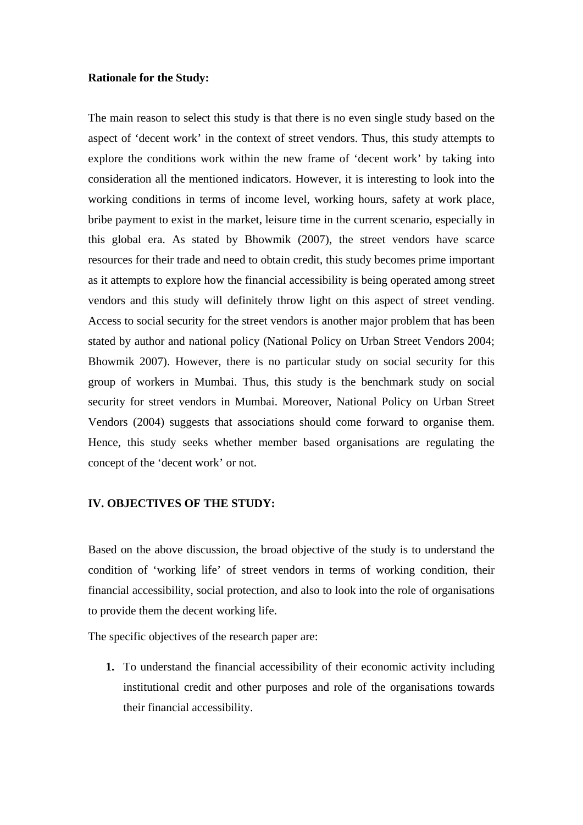## **Rationale for the Study:**

The main reason to select this study is that there is no even single study based on the aspect of 'decent work' in the context of street vendors. Thus, this study attempts to explore the conditions work within the new frame of 'decent work' by taking into consideration all the mentioned indicators. However, it is interesting to look into the working conditions in terms of income level, working hours, safety at work place, bribe payment to exist in the market, leisure time in the current scenario, especially in this global era. As stated by Bhowmik (2007), the street vendors have scarce resources for their trade and need to obtain credit, this study becomes prime important as it attempts to explore how the financial accessibility is being operated among street vendors and this study will definitely throw light on this aspect of street vending. Access to social security for the street vendors is another major problem that has been stated by author and national policy (National Policy on Urban Street Vendors 2004; Bhowmik 2007). However, there is no particular study on social security for this group of workers in Mumbai. Thus, this study is the benchmark study on social security for street vendors in Mumbai. Moreover, National Policy on Urban Street Vendors (2004) suggests that associations should come forward to organise them. Hence, this study seeks whether member based organisations are regulating the concept of the 'decent work' or not.

## **IV. OBJECTIVES OF THE STUDY:**

Based on the above discussion, the broad objective of the study is to understand the condition of 'working life' of street vendors in terms of working condition, their financial accessibility, social protection, and also to look into the role of organisations to provide them the decent working life.

The specific objectives of the research paper are:

**1.** To understand the financial accessibility of their economic activity including institutional credit and other purposes and role of the organisations towards their financial accessibility.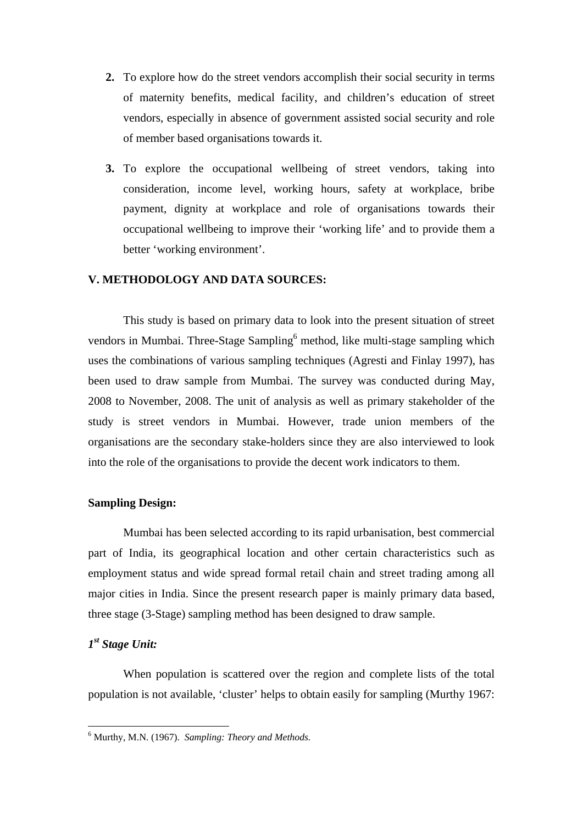- **2.** To explore how do the street vendors accomplish their social security in terms of maternity benefits, medical facility, and children's education of street vendors, especially in absence of government assisted social security and role of member based organisations towards it.
- **3.** To explore the occupational wellbeing of street vendors, taking into consideration, income level, working hours, safety at workplace, bribe payment, dignity at workplace and role of organisations towards their occupational wellbeing to improve their 'working life' and to provide them a better 'working environment'.

# **V. METHODOLOGY AND DATA SOURCES:**

This study is based on primary data to look into the present situation of street vendors in Mumbai. Three-Stage Sampling<sup>6</sup> method, like multi-stage sampling which uses the combinations of various sampling techniques (Agresti and Finlay 1997), has been used to draw sample from Mumbai. The survey was conducted during May, 2008 to November, 2008. The unit of analysis as well as primary stakeholder of the study is street vendors in Mumbai. However, trade union members of the organisations are the secondary stake-holders since they are also interviewed to look into the role of the organisations to provide the decent work indicators to them.

## **Sampling Design:**

Mumbai has been selected according to its rapid urbanisation, best commercial part of India, its geographical location and other certain characteristics such as employment status and wide spread formal retail chain and street trading among all major cities in India. Since the present research paper is mainly primary data based, three stage (3-Stage) sampling method has been designed to draw sample.

# *1st Stage Unit:*

1

When population is scattered over the region and complete lists of the total population is not available, 'cluster' helps to obtain easily for sampling (Murthy 1967:

<sup>6</sup> Murthy, M.N. (1967). *Sampling: Theory and Methods.*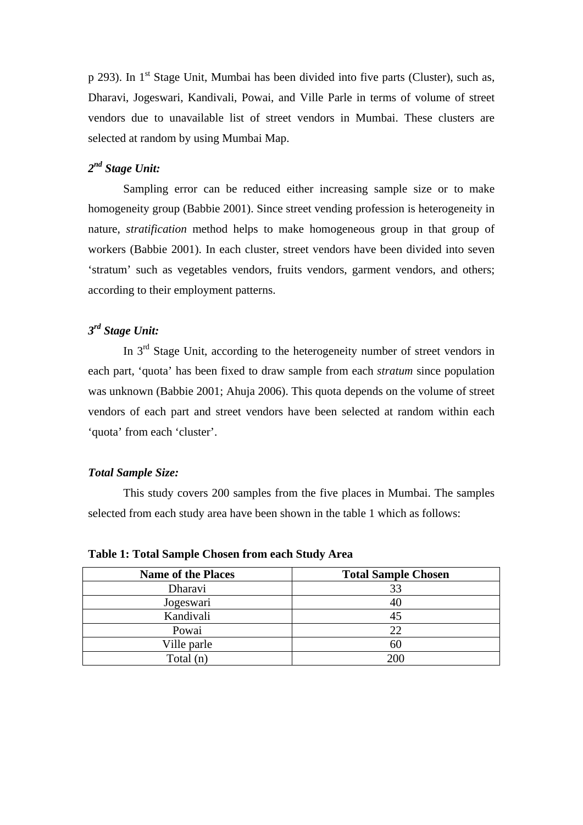p 293). In 1<sup>st</sup> Stage Unit, Mumbai has been divided into five parts (Cluster), such as, Dharavi, Jogeswari, Kandivali, Powai, and Ville Parle in terms of volume of street vendors due to unavailable list of street vendors in Mumbai. These clusters are selected at random by using Mumbai Map.

# *2nd Stage Unit:*

Sampling error can be reduced either increasing sample size or to make homogeneity group (Babbie 2001). Since street vending profession is heterogeneity in nature, *stratification* method helps to make homogeneous group in that group of workers (Babbie 2001). In each cluster, street vendors have been divided into seven 'stratum' such as vegetables vendors, fruits vendors, garment vendors, and others; according to their employment patterns.

# *3rd Stage Unit:*

In 3<sup>rd</sup> Stage Unit, according to the heterogeneity number of street vendors in each part, 'quota' has been fixed to draw sample from each *stratum* since population was unknown (Babbie 2001; Ahuja 2006). This quota depends on the volume of street vendors of each part and street vendors have been selected at random within each 'quota' from each 'cluster'.

## *Total Sample Size:*

This study covers 200 samples from the five places in Mumbai. The samples selected from each study area have been shown in the table 1 which as follows:

| <b>Name of the Places</b> | <b>Total Sample Chosen</b> |
|---------------------------|----------------------------|
| Dharavi                   | 33                         |
| Jogeswari                 | 40                         |
| Kandivali                 | 45                         |
| Powai                     | 22                         |
| Ville parle               | 60                         |
| Total (n)                 | 200                        |

**Table 1: Total Sample Chosen from each Study Area**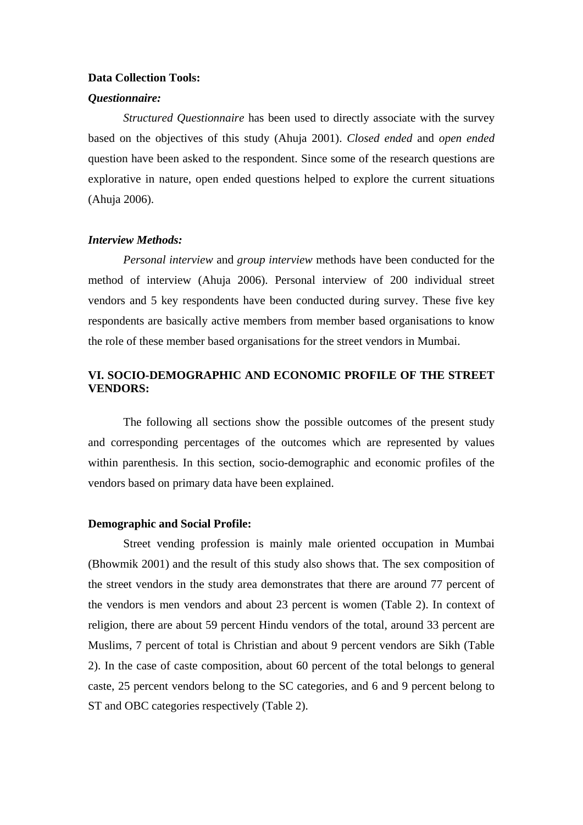#### **Data Collection Tools:**

#### *Questionnaire:*

*Structured Questionnaire* has been used to directly associate with the survey based on the objectives of this study (Ahuja 2001). *Closed ended* and *open ended* question have been asked to the respondent. Since some of the research questions are explorative in nature, open ended questions helped to explore the current situations (Ahuja 2006).

### *Interview Methods:*

*Personal interview* and *group interview* methods have been conducted for the method of interview (Ahuja 2006). Personal interview of 200 individual street vendors and 5 key respondents have been conducted during survey. These five key respondents are basically active members from member based organisations to know the role of these member based organisations for the street vendors in Mumbai.

# **VI. SOCIO-DEMOGRAPHIC AND ECONOMIC PROFILE OF THE STREET VENDORS:**

The following all sections show the possible outcomes of the present study and corresponding percentages of the outcomes which are represented by values within parenthesis. In this section, socio-demographic and economic profiles of the vendors based on primary data have been explained.

#### **Demographic and Social Profile:**

Street vending profession is mainly male oriented occupation in Mumbai (Bhowmik 2001) and the result of this study also shows that. The sex composition of the street vendors in the study area demonstrates that there are around 77 percent of the vendors is men vendors and about 23 percent is women (Table 2). In context of religion, there are about 59 percent Hindu vendors of the total, around 33 percent are Muslims, 7 percent of total is Christian and about 9 percent vendors are Sikh (Table 2). In the case of caste composition, about 60 percent of the total belongs to general caste, 25 percent vendors belong to the SC categories, and 6 and 9 percent belong to ST and OBC categories respectively (Table 2).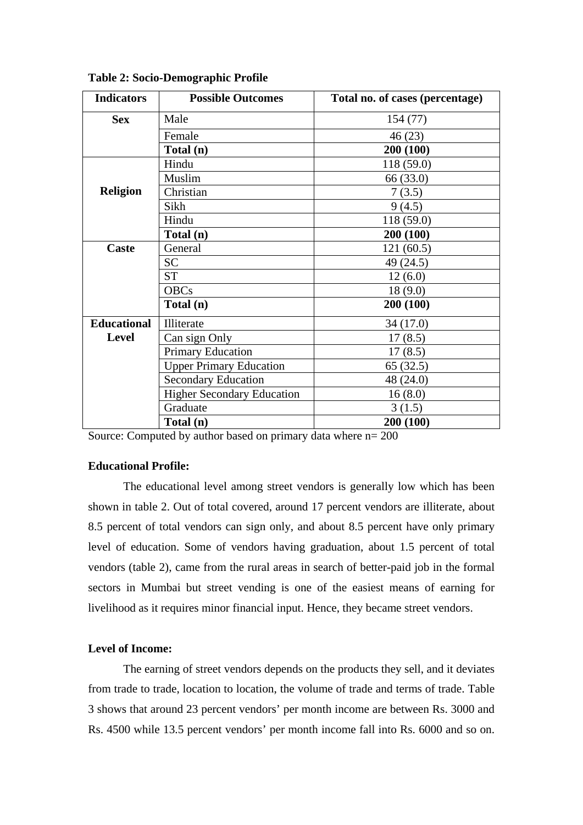| <b>Indicators</b>  | <b>Possible Outcomes</b>          | Total no. of cases (percentage) |
|--------------------|-----------------------------------|---------------------------------|
| <b>Sex</b>         | Male                              | 154 (77)                        |
|                    | Female                            | 46 (23)                         |
|                    | Total (n)                         | 200 (100)                       |
|                    | Hindu                             | 118 (59.0)                      |
|                    | Muslim                            | 66 (33.0)                       |
| <b>Religion</b>    | Christian                         | 7(3.5)                          |
|                    | Sikh                              | 9(4.5)                          |
|                    | Hindu                             | 118 (59.0)                      |
|                    | Total (n)                         | 200 (100)                       |
| Caste              | General                           | 121(60.5)                       |
|                    | <b>SC</b>                         | 49 (24.5)                       |
|                    | <b>ST</b>                         | 12(6.0)                         |
|                    | <b>OBCs</b>                       | 18(9.0)                         |
|                    | Total (n)                         | 200 (100)                       |
| <b>Educational</b> | Illiterate                        | 34(17.0)                        |
| <b>Level</b>       | Can sign Only                     | 17(8.5)                         |
|                    | <b>Primary Education</b>          | 17(8.5)                         |
|                    | <b>Upper Primary Education</b>    | 65(32.5)                        |
|                    | <b>Secondary Education</b>        | 48 (24.0)                       |
|                    | <b>Higher Secondary Education</b> | 16(8.0)                         |
|                    | Graduate                          | 3(1.5)                          |
|                    | Total (n)                         | 200 (100)                       |

**Table 2: Socio-Demographic Profile** 

Source: Computed by author based on primary data where n= 200

# **Educational Profile:**

The educational level among street vendors is generally low which has been shown in table 2. Out of total covered, around 17 percent vendors are illiterate, about 8.5 percent of total vendors can sign only, and about 8.5 percent have only primary level of education. Some of vendors having graduation, about 1.5 percent of total vendors (table 2), came from the rural areas in search of better-paid job in the formal sectors in Mumbai but street vending is one of the easiest means of earning for livelihood as it requires minor financial input. Hence, they became street vendors.

## **Level of Income:**

The earning of street vendors depends on the products they sell, and it deviates from trade to trade, location to location, the volume of trade and terms of trade. Table 3 shows that around 23 percent vendors' per month income are between Rs. 3000 and Rs. 4500 while 13.5 percent vendors' per month income fall into Rs. 6000 and so on.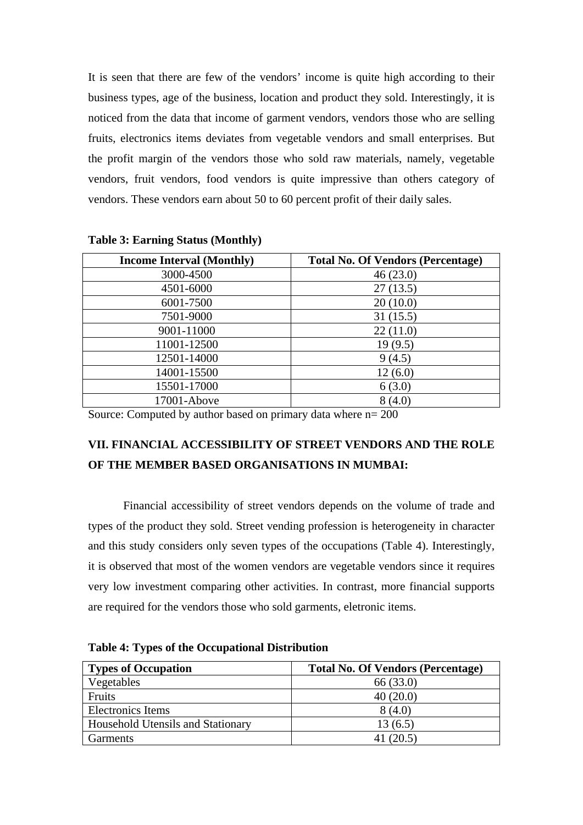It is seen that there are few of the vendors' income is quite high according to their business types, age of the business, location and product they sold. Interestingly, it is noticed from the data that income of garment vendors, vendors those who are selling fruits, electronics items deviates from vegetable vendors and small enterprises. But the profit margin of the vendors those who sold raw materials, namely, vegetable vendors, fruit vendors, food vendors is quite impressive than others category of vendors. These vendors earn about 50 to 60 percent profit of their daily sales.

| <b>Income Interval (Monthly)</b> | <b>Total No. Of Vendors (Percentage)</b> |
|----------------------------------|------------------------------------------|
| 3000-4500                        | 46(23.0)                                 |
| 4501-6000                        | 27(13.5)                                 |
| 6001-7500                        | 20(10.0)                                 |
| 7501-9000                        | 31(15.5)                                 |
| 9001-11000                       | 22(11.0)                                 |
| 11001-12500                      | 19(9.5)                                  |
| 12501-14000                      | 9(4.5)                                   |
| 14001-15500                      | 12(6.0)                                  |
| 15501-17000                      | 6(3.0)                                   |
| 17001-Above                      | 8(4.0)                                   |

**Table 3: Earning Status (Monthly)**

Source: Computed by author based on primary data where n= 200

# **VII. FINANCIAL ACCESSIBILITY OF STREET VENDORS AND THE ROLE OF THE MEMBER BASED ORGANISATIONS IN MUMBAI:**

Financial accessibility of street vendors depends on the volume of trade and types of the product they sold. Street vending profession is heterogeneity in character and this study considers only seven types of the occupations (Table 4). Interestingly, it is observed that most of the women vendors are vegetable vendors since it requires very low investment comparing other activities. In contrast, more financial supports are required for the vendors those who sold garments, eletronic items.

**Table 4: Types of the Occupational Distribution** 

| <b>Types of Occupation</b>        | <b>Total No. Of Vendors (Percentage)</b> |
|-----------------------------------|------------------------------------------|
| Vegetables                        | 66 (33.0)                                |
| Fruits                            | 40(20.0)                                 |
| <b>Electronics Items</b>          | 8(4.0)                                   |
| Household Utensils and Stationary | 13(6.5)                                  |
| Garments                          | 41 $(20.5)$                              |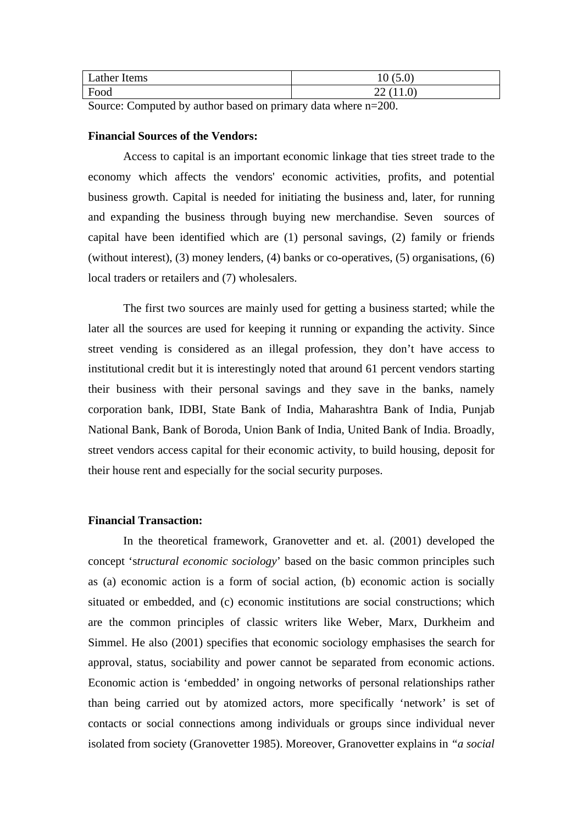| Lather Items | 10 (5 O)<br>1U |
|--------------|----------------|
| Food         | 22(11.0)       |

Source: Computed by author based on primary data where n=200.

# **Financial Sources of the Vendors:**

Access to capital is an important economic linkage that ties street trade to the economy which affects the vendors' economic activities, profits, and potential business growth. Capital is needed for initiating the business and, later, for running and expanding the business through buying new merchandise. Seven sources of capital have been identified which are (1) personal savings, (2) family or friends (without interest), (3) money lenders, (4) banks or co-operatives, (5) organisations, (6) local traders or retailers and (7) wholesalers.

The first two sources are mainly used for getting a business started; while the later all the sources are used for keeping it running or expanding the activity. Since street vending is considered as an illegal profession, they don't have access to institutional credit but it is interestingly noted that around 61 percent vendors starting their business with their personal savings and they save in the banks, namely corporation bank, IDBI, State Bank of India, Maharashtra Bank of India, Punjab National Bank, Bank of Boroda, Union Bank of India, United Bank of India. Broadly, street vendors access capital for their economic activity, to build housing, deposit for their house rent and especially for the social security purposes.

# **Financial Transaction:**

In the theoretical framework, Granovetter and et. al. (2001) developed the concept 's*tructural economic sociology*' based on the basic common principles such as (a) economic action is a form of social action, (b) economic action is socially situated or embedded, and (c) economic institutions are social constructions; which are the common principles of classic writers like Weber, Marx, Durkheim and Simmel. He also (2001) specifies that economic sociology emphasises the search for approval, status, sociability and power cannot be separated from economic actions. Economic action is 'embedded' in ongoing networks of personal relationships rather than being carried out by atomized actors, more specifically 'network' is set of contacts or social connections among individuals or groups since individual never isolated from society (Granovetter 1985). Moreover, Granovetter explains in *"a social*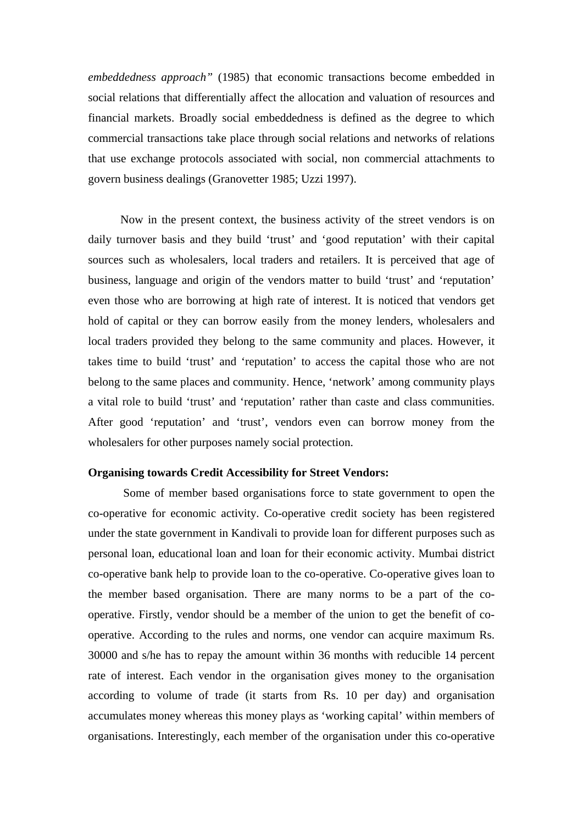*embeddedness approach"* (1985) that economic transactions become embedded in social relations that differentially affect the allocation and valuation of resources and financial markets. Broadly social embeddedness is defined as the degree to which commercial transactions take place through social relations and networks of relations that use exchange protocols associated with social, non commercial attachments to govern business dealings (Granovetter 1985; Uzzi 1997).

Now in the present context, the business activity of the street vendors is on daily turnover basis and they build 'trust' and 'good reputation' with their capital sources such as wholesalers, local traders and retailers. It is perceived that age of business, language and origin of the vendors matter to build 'trust' and 'reputation' even those who are borrowing at high rate of interest. It is noticed that vendors get hold of capital or they can borrow easily from the money lenders, wholesalers and local traders provided they belong to the same community and places. However, it takes time to build 'trust' and 'reputation' to access the capital those who are not belong to the same places and community. Hence, 'network' among community plays a vital role to build 'trust' and 'reputation' rather than caste and class communities. After good 'reputation' and 'trust', vendors even can borrow money from the wholesalers for other purposes namely social protection.

## **Organising towards Credit Accessibility for Street Vendors:**

Some of member based organisations force to state government to open the co-operative for economic activity. Co-operative credit society has been registered under the state government in Kandivali to provide loan for different purposes such as personal loan, educational loan and loan for their economic activity. Mumbai district co-operative bank help to provide loan to the co-operative. Co-operative gives loan to the member based organisation. There are many norms to be a part of the cooperative. Firstly, vendor should be a member of the union to get the benefit of cooperative. According to the rules and norms, one vendor can acquire maximum Rs. 30000 and s/he has to repay the amount within 36 months with reducible 14 percent rate of interest. Each vendor in the organisation gives money to the organisation according to volume of trade (it starts from Rs. 10 per day) and organisation accumulates money whereas this money plays as 'working capital' within members of organisations. Interestingly, each member of the organisation under this co-operative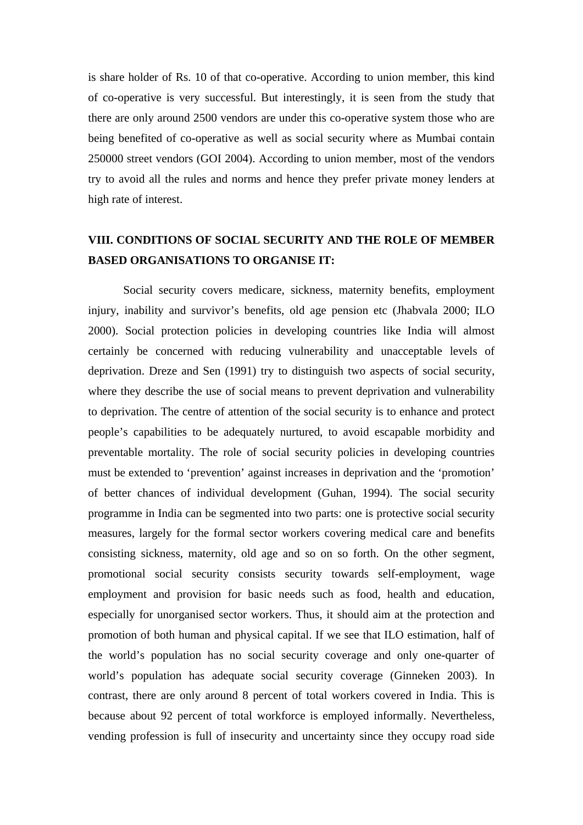is share holder of Rs. 10 of that co-operative. According to union member, this kind of co-operative is very successful. But interestingly, it is seen from the study that there are only around 2500 vendors are under this co-operative system those who are being benefited of co-operative as well as social security where as Mumbai contain 250000 street vendors (GOI 2004). According to union member, most of the vendors try to avoid all the rules and norms and hence they prefer private money lenders at high rate of interest.

# **VIII. CONDITIONS OF SOCIAL SECURITY AND THE ROLE OF MEMBER BASED ORGANISATIONS TO ORGANISE IT:**

Social security covers medicare, sickness, maternity benefits, employment injury, inability and survivor's benefits, old age pension etc (Jhabvala 2000; ILO 2000). Social protection policies in developing countries like India will almost certainly be concerned with reducing vulnerability and unacceptable levels of deprivation. Dreze and Sen (1991) try to distinguish two aspects of social security, where they describe the use of social means to prevent deprivation and vulnerability to deprivation. The centre of attention of the social security is to enhance and protect people's capabilities to be adequately nurtured, to avoid escapable morbidity and preventable mortality. The role of social security policies in developing countries must be extended to 'prevention' against increases in deprivation and the 'promotion' of better chances of individual development (Guhan, 1994). The social security programme in India can be segmented into two parts: one is protective social security measures, largely for the formal sector workers covering medical care and benefits consisting sickness, maternity, old age and so on so forth. On the other segment, promotional social security consists security towards self-employment, wage employment and provision for basic needs such as food, health and education, especially for unorganised sector workers. Thus, it should aim at the protection and promotion of both human and physical capital. If we see that ILO estimation, half of the world's population has no social security coverage and only one-quarter of world's population has adequate social security coverage (Ginneken 2003). In contrast, there are only around 8 percent of total workers covered in India. This is because about 92 percent of total workforce is employed informally. Nevertheless, vending profession is full of insecurity and uncertainty since they occupy road side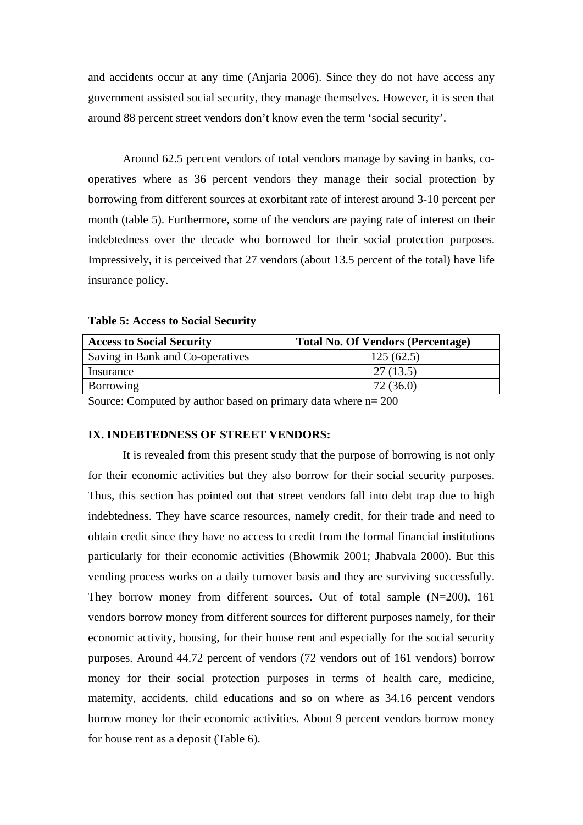and accidents occur at any time (Anjaria 2006). Since they do not have access any government assisted social security, they manage themselves. However, it is seen that around 88 percent street vendors don't know even the term 'social security'.

Around 62.5 percent vendors of total vendors manage by saving in banks, cooperatives where as 36 percent vendors they manage their social protection by borrowing from different sources at exorbitant rate of interest around 3-10 percent per month (table 5). Furthermore, some of the vendors are paying rate of interest on their indebtedness over the decade who borrowed for their social protection purposes. Impressively, it is perceived that 27 vendors (about 13.5 percent of the total) have life insurance policy.

| <b>Access to Social Security</b> | <b>Total No. Of Vendors (Percentage)</b> |
|----------------------------------|------------------------------------------|
| Saving in Bank and Co-operatives | 125(62.5)                                |
| Insurance                        | 27(13.5)                                 |
| Borrowing                        | 72 (36.0)                                |

Source: Computed by author based on primary data where n= 200

## **IX. INDEBTEDNESS OF STREET VENDORS:**

It is revealed from this present study that the purpose of borrowing is not only for their economic activities but they also borrow for their social security purposes. Thus, this section has pointed out that street vendors fall into debt trap due to high indebtedness. They have scarce resources, namely credit, for their trade and need to obtain credit since they have no access to credit from the formal financial institutions particularly for their economic activities (Bhowmik 2001; Jhabvala 2000). But this vending process works on a daily turnover basis and they are surviving successfully. They borrow money from different sources. Out of total sample (N=200), 161 vendors borrow money from different sources for different purposes namely, for their economic activity, housing, for their house rent and especially for the social security purposes. Around 44.72 percent of vendors (72 vendors out of 161 vendors) borrow money for their social protection purposes in terms of health care, medicine, maternity, accidents, child educations and so on where as 34.16 percent vendors borrow money for their economic activities. About 9 percent vendors borrow money for house rent as a deposit (Table 6).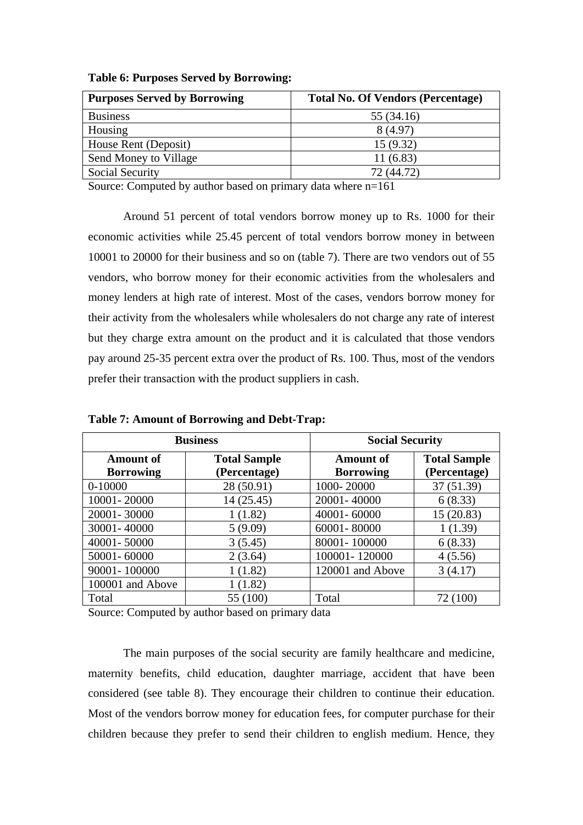| Table 6: Purposes Served by Borrowing: |  |  |  |  |
|----------------------------------------|--|--|--|--|
|----------------------------------------|--|--|--|--|

| <b>Purposes Served by Borrowing</b> | <b>Total No. Of Vendors (Percentage)</b> |
|-------------------------------------|------------------------------------------|
| <b>Business</b>                     | 55 (34.16)                               |
| Housing                             | 8 (4.97)                                 |
| House Rent (Deposit)                | 15(9.32)                                 |
| Send Money to Village               | 11(6.83)                                 |
| <b>Social Security</b>              | 72 (44.72)                               |

Source: Computed by author based on primary data where n=161

Around 51 percent of total vendors borrow money up to Rs. 1000 for their economic activities while 25.45 percent of total vendors borrow money in between 10001 to 20000 for their business and so on (table 7). There are two vendors out of 55 vendors, who borrow money for their economic activities from the wholesalers and money lenders at high rate of interest. Most of the cases, vendors borrow money for their activity from the wholesalers while wholesalers do not charge any rate of interest but they charge extra amount on the product and it is calculated that those vendors pay around 25-35 percent extra over the product of Rs. 100. Thus, most of the vendors prefer their transaction with the product suppliers in cash.

| <b>Business</b>  |                     | <b>Social Security</b> |                     |
|------------------|---------------------|------------------------|---------------------|
| <b>Amount of</b> | <b>Total Sample</b> | <b>Amount</b> of       | <b>Total Sample</b> |
| <b>Borrowing</b> | (Percentage)        | <b>Borrowing</b>       | (Percentage)        |
| $0-10000$        | 28 (50.91)          | 1000-20000             | 37 (51.39)          |
| 10001-20000      | 14(25.45)           | 20001-40000            | 6(8.33)             |
| 20001-30000      | 1(1.82)             | 40001-60000            | 15(20.83)           |
| 30001-40000      | 5(9.09)             | 60001-80000            | 1(1.39)             |
| 40001-50000      | 3(5.45)             | 80001-100000           | 6(8.33)             |
| 50001-60000      | 2(3.64)             | 100001-120000          | 4(5.56)             |
| 90001-100000     | 1(1.82)             | 120001 and Above       | 3(4.17)             |
| 100001 and Above | 1(1.82)             |                        |                     |
| Total            | 55 (100)            | Total                  | 72 (100)            |

**Table 7: Amount of Borrowing and Debt-Trap:** 

Source: Computed by author based on primary data

The main purposes of the social security are family healthcare and medicine, maternity benefits, child education, daughter marriage, accident that have been considered (see table 8). They encourage their children to continue their education. Most of the vendors borrow money for education fees, for computer purchase for their children because they prefer to send their children to english medium. Hence, they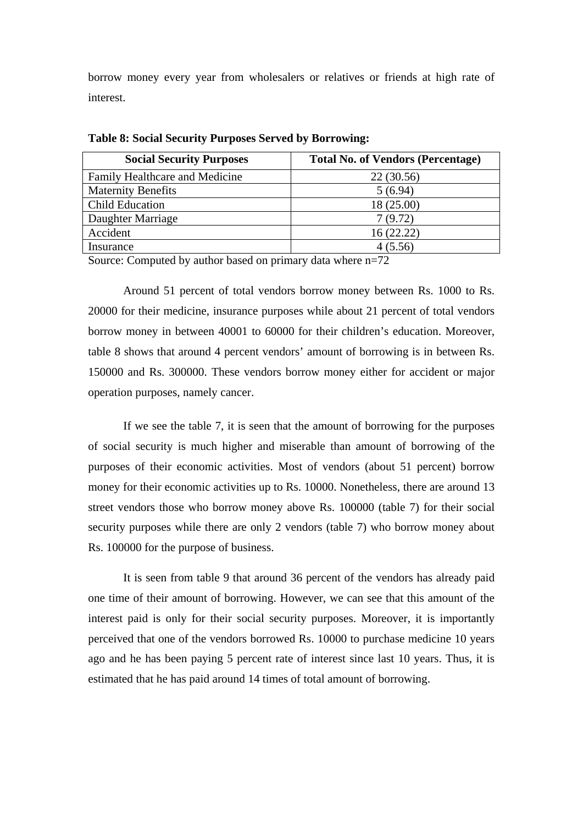borrow money every year from wholesalers or relatives or friends at high rate of interest.

| <b>Social Security Purposes</b> | <b>Total No. of Vendors (Percentage)</b> |
|---------------------------------|------------------------------------------|
| Family Healthcare and Medicine  | 22(30.56)                                |
| <b>Maternity Benefits</b>       | 5(6.94)                                  |
| <b>Child Education</b>          | 18 (25.00)                               |
| Daughter Marriage               | 7(9.72)                                  |
| Accident                        | 16(22.22)                                |
| Insurance                       | 4(5.56)                                  |

**Table 8: Social Security Purposes Served by Borrowing:**

Source: Computed by author based on primary data where n=72

Around 51 percent of total vendors borrow money between Rs. 1000 to Rs. 20000 for their medicine, insurance purposes while about 21 percent of total vendors borrow money in between 40001 to 60000 for their children's education. Moreover, table 8 shows that around 4 percent vendors' amount of borrowing is in between Rs. 150000 and Rs. 300000. These vendors borrow money either for accident or major operation purposes, namely cancer.

If we see the table 7, it is seen that the amount of borrowing for the purposes of social security is much higher and miserable than amount of borrowing of the purposes of their economic activities. Most of vendors (about 51 percent) borrow money for their economic activities up to Rs. 10000. Nonetheless, there are around 13 street vendors those who borrow money above Rs. 100000 (table 7) for their social security purposes while there are only 2 vendors (table 7) who borrow money about Rs. 100000 for the purpose of business.

It is seen from table 9 that around 36 percent of the vendors has already paid one time of their amount of borrowing. However, we can see that this amount of the interest paid is only for their social security purposes. Moreover, it is importantly perceived that one of the vendors borrowed Rs. 10000 to purchase medicine 10 years ago and he has been paying 5 percent rate of interest since last 10 years. Thus, it is estimated that he has paid around 14 times of total amount of borrowing.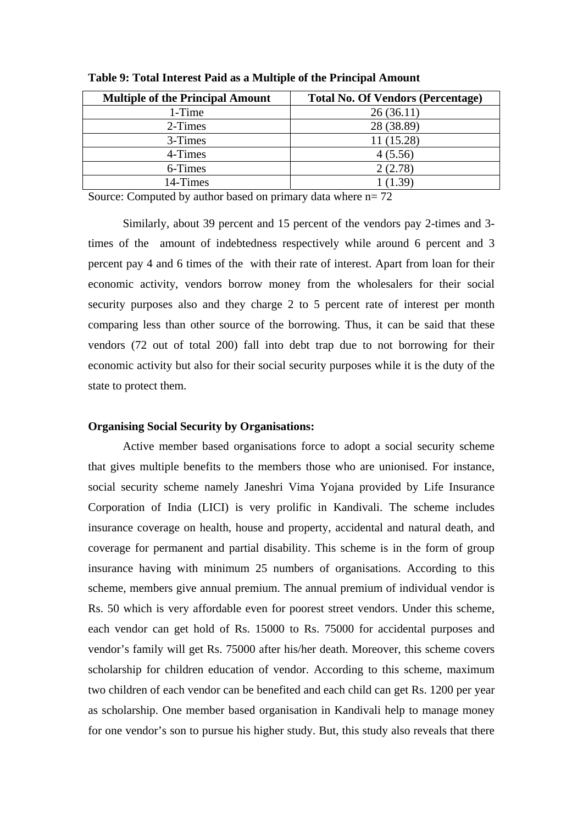| <b>Multiple of the Principal Amount</b> | <b>Total No. Of Vendors (Percentage)</b> |
|-----------------------------------------|------------------------------------------|
| 1-Time                                  | 26(36.11)                                |
| 2-Times                                 | 28 (38.89)                               |
| 3-Times                                 | 11(15.28)                                |
| 4-Times                                 | 4(5.56)                                  |
| 6-Times                                 | 2(2.78)                                  |
| 14-Times                                | (1.39)                                   |

**Table 9: Total Interest Paid as a Multiple of the Principal Amount** 

Source: Computed by author based on primary data where  $n=72$ 

 Similarly, about 39 percent and 15 percent of the vendors pay 2-times and 3 times of the amount of indebtedness respectively while around 6 percent and 3 percent pay 4 and 6 times of the with their rate of interest. Apart from loan for their economic activity, vendors borrow money from the wholesalers for their social security purposes also and they charge 2 to 5 percent rate of interest per month comparing less than other source of the borrowing. Thus, it can be said that these vendors (72 out of total 200) fall into debt trap due to not borrowing for their economic activity but also for their social security purposes while it is the duty of the state to protect them.

# **Organising Social Security by Organisations:**

 Active member based organisations force to adopt a social security scheme that gives multiple benefits to the members those who are unionised. For instance, social security scheme namely Janeshri Vima Yojana provided by Life Insurance Corporation of India (LICI) is very prolific in Kandivali. The scheme includes insurance coverage on health, house and property, accidental and natural death, and coverage for permanent and partial disability. This scheme is in the form of group insurance having with minimum 25 numbers of organisations. According to this scheme, members give annual premium. The annual premium of individual vendor is Rs. 50 which is very affordable even for poorest street vendors. Under this scheme, each vendor can get hold of Rs. 15000 to Rs. 75000 for accidental purposes and vendor's family will get Rs. 75000 after his/her death. Moreover, this scheme covers scholarship for children education of vendor. According to this scheme, maximum two children of each vendor can be benefited and each child can get Rs. 1200 per year as scholarship. One member based organisation in Kandivali help to manage money for one vendor's son to pursue his higher study. But, this study also reveals that there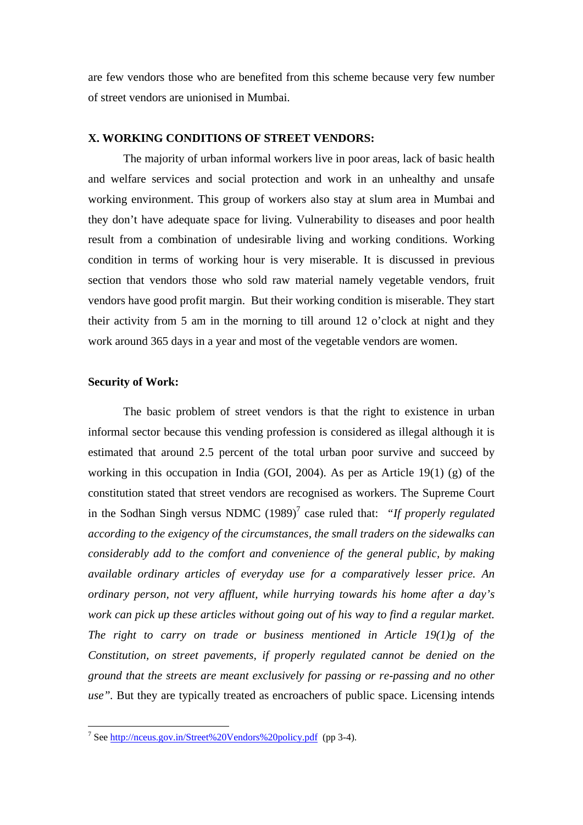are few vendors those who are benefited from this scheme because very few number of street vendors are unionised in Mumbai.

## **X. WORKING CONDITIONS OF STREET VENDORS:**

The majority of urban informal workers live in poor areas, lack of basic health and welfare services and social protection and work in an unhealthy and unsafe working environment. This group of workers also stay at slum area in Mumbai and they don't have adequate space for living. Vulnerability to diseases and poor health result from a combination of undesirable living and working conditions. Working condition in terms of working hour is very miserable. It is discussed in previous section that vendors those who sold raw material namely vegetable vendors, fruit vendors have good profit margin. But their working condition is miserable. They start their activity from 5 am in the morning to till around 12 o'clock at night and they work around 365 days in a year and most of the vegetable vendors are women.

## **Security of Work:**

The basic problem of street vendors is that the right to existence in urban informal sector because this vending profession is considered as illegal although it is estimated that around 2.5 percent of the total urban poor survive and succeed by working in this occupation in India (GOI, 2004). As per as Article 19(1) (g) of the constitution stated that street vendors are recognised as workers. The Supreme Court in the Sodhan Singh versus NDMC (1989)<sup>7</sup> case ruled that: *"If properly regulated according to the exigency of the circumstances, the small traders on the sidewalks can considerably add to the comfort and convenience of the general public, by making available ordinary articles of everyday use for a comparatively lesser price. An ordinary person, not very affluent, while hurrying towards his home after a day's work can pick up these articles without going out of his way to find a regular market. The right to carry on trade or business mentioned in Article 19(1)g of the Constitution, on street pavements, if properly regulated cannot be denied on the ground that the streets are meant exclusively for passing or re-passing and no other use".* But they are typically treated as encroachers of public space. Licensing intends

<sup>&</sup>lt;sup>7</sup> See <u>http://nceus.gov.in/Street%20Vendors%20policy.pdf</u> (pp 3-4).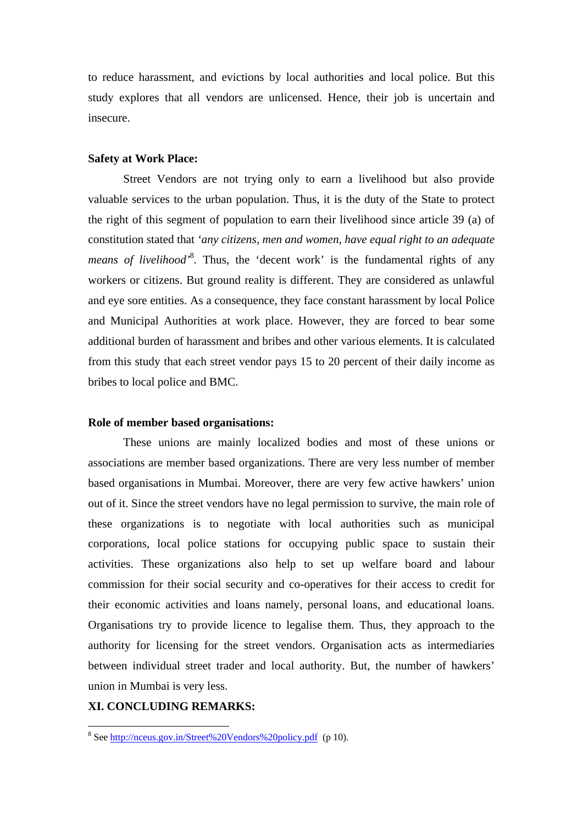to reduce harassment, and evictions by local authorities and local police. But this study explores that all vendors are unlicensed. Hence, their job is uncertain and insecure.

## **Safety at Work Place:**

Street Vendors are not trying only to earn a livelihood but also provide valuable services to the urban population. Thus, it is the duty of the State to protect the right of this segment of population to earn their livelihood since article 39 (a) of constitution stated that *'any citizens, men and women, have equal right to an adequate*  means of livelihood<sup>'8</sup>. Thus, the 'decent work' is the fundamental rights of any workers or citizens. But ground reality is different. They are considered as unlawful and eye sore entities. As a consequence, they face constant harassment by local Police and Municipal Authorities at work place. However, they are forced to bear some additional burden of harassment and bribes and other various elements. It is calculated from this study that each street vendor pays 15 to 20 percent of their daily income as bribes to local police and BMC.

## **Role of member based organisations:**

These unions are mainly localized bodies and most of these unions or associations are member based organizations. There are very less number of member based organisations in Mumbai. Moreover, there are very few active hawkers' union out of it. Since the street vendors have no legal permission to survive, the main role of these organizations is to negotiate with local authorities such as municipal corporations, local police stations for occupying public space to sustain their activities. These organizations also help to set up welfare board and labour commission for their social security and co-operatives for their access to credit for their economic activities and loans namely, personal loans, and educational loans. Organisations try to provide licence to legalise them. Thus, they approach to the authority for licensing for the street vendors. Organisation acts as intermediaries between individual street trader and local authority. But, the number of hawkers' union in Mumbai is very less.

## **XI. CONCLUDING REMARKS:**

<sup>&</sup>lt;sup>8</sup> See http://nceus.gov.in/Street%20Vendors%20policy.pdf (p 10).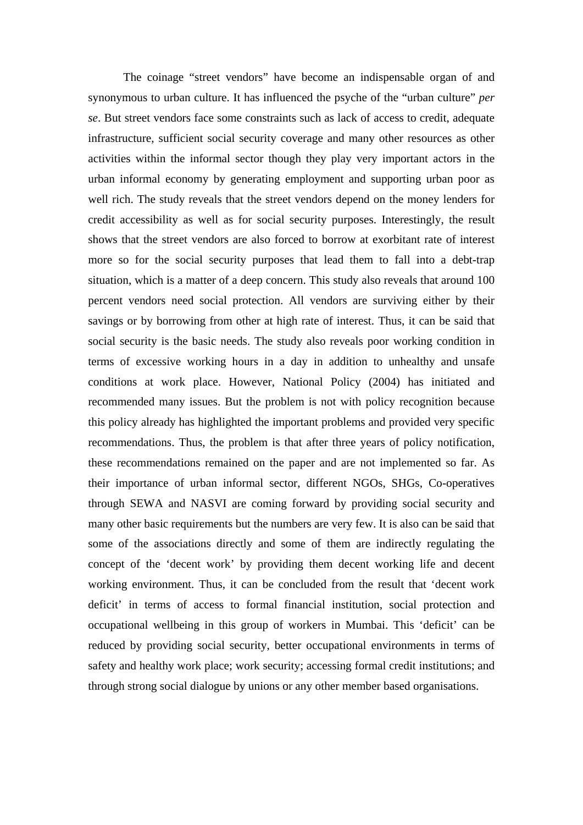The coinage "street vendors" have become an indispensable organ of and synonymous to urban culture. It has influenced the psyche of the "urban culture" *per se*. But street vendors face some constraints such as lack of access to credit, adequate infrastructure, sufficient social security coverage and many other resources as other activities within the informal sector though they play very important actors in the urban informal economy by generating employment and supporting urban poor as well rich. The study reveals that the street vendors depend on the money lenders for credit accessibility as well as for social security purposes. Interestingly, the result shows that the street vendors are also forced to borrow at exorbitant rate of interest more so for the social security purposes that lead them to fall into a debt-trap situation, which is a matter of a deep concern. This study also reveals that around 100 percent vendors need social protection. All vendors are surviving either by their savings or by borrowing from other at high rate of interest. Thus, it can be said that social security is the basic needs. The study also reveals poor working condition in terms of excessive working hours in a day in addition to unhealthy and unsafe conditions at work place. However, National Policy (2004) has initiated and recommended many issues. But the problem is not with policy recognition because this policy already has highlighted the important problems and provided very specific recommendations. Thus, the problem is that after three years of policy notification, these recommendations remained on the paper and are not implemented so far. As their importance of urban informal sector, different NGOs, SHGs, Co-operatives through SEWA and NASVI are coming forward by providing social security and many other basic requirements but the numbers are very few. It is also can be said that some of the associations directly and some of them are indirectly regulating the concept of the 'decent work' by providing them decent working life and decent working environment. Thus, it can be concluded from the result that 'decent work deficit' in terms of access to formal financial institution, social protection and occupational wellbeing in this group of workers in Mumbai. This 'deficit' can be reduced by providing social security, better occupational environments in terms of safety and healthy work place; work security; accessing formal credit institutions; and through strong social dialogue by unions or any other member based organisations.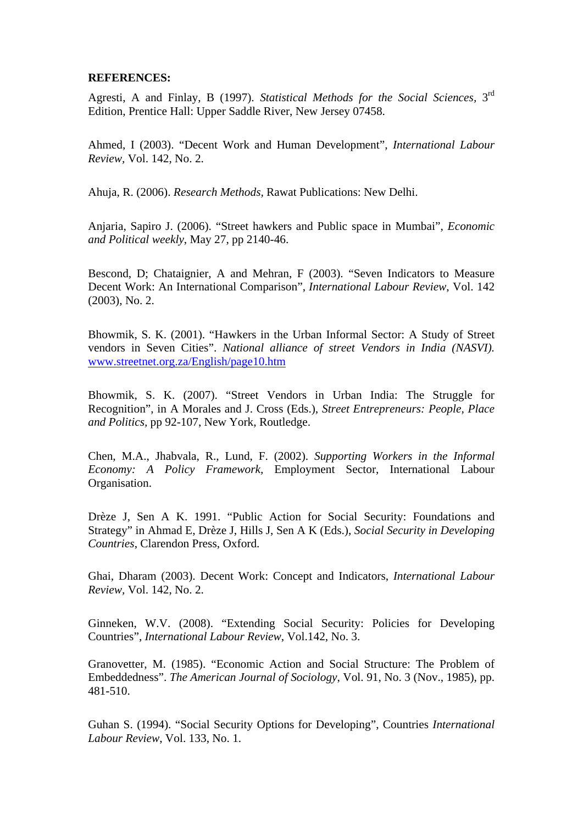## **REFERENCES:**

Agresti, A and Finlay, B (1997). *Statistical Methods for the Social Sciences,* 3rd Edition, Prentice Hall: Upper Saddle River, New Jersey 07458.

Ahmed, I (2003). "Decent Work and Human Development", *International Labour Review,* Vol. 142, No. 2.

Ahuja, R. (2006). *Research Methods,* Rawat Publications: New Delhi.

Anjaria, Sapiro J. (2006). "Street hawkers and Public space in Mumbai", *Economic and Political weekly*, May 27, pp 2140-46.

Bescond, D; Chataignier, A and Mehran, F (2003). "Seven Indicators to Measure Decent Work: An International Comparison", *International Labour Review*, Vol. 142 (2003), No. 2.

Bhowmik, S. K. (2001). "Hawkers in the Urban Informal Sector: A Study of Street vendors in Seven Cities". *National alliance of street Vendors in India (NASVI).*  www.streetnet.org.za/English/page10.htm

Bhowmik, S. K. (2007). "Street Vendors in Urban India: The Struggle for Recognition", in A Morales and J. Cross (Eds.), *Street Entrepreneurs: People, Place and Politics,* pp 92-107, New York, Routledge.

Chen, M.A., Jhabvala, R., Lund, F. (2002). *Supporting Workers in the Informal Economy: A Policy Framework,* Employment Sector, International Labour Organisation.

Drèze J, Sen A K. 1991. "Public Action for Social Security: Foundations and Strategy" in Ahmad E, Drèze J, Hills J, Sen A K (Eds.), *Social Security in Developing Countries*, Clarendon Press, Oxford.

Ghai, Dharam (2003). Decent Work: Concept and Indicators, *International Labour Review,* Vol. 142, No. 2.

Ginneken, W.V. (2008). "Extending Social Security: Policies for Developing Countries", *International Labour Review*, Vol.142, No. 3.

Granovetter, M. (1985). "Economic Action and Social Structure: The Problem of Embeddedness". *The American Journal of Sociology*, Vol. 91, No. 3 (Nov., 1985), pp. 481-510.

Guhan S. (1994). "Social Security Options for Developing", Countries *International Labour Review*, Vol. 133, No. 1.